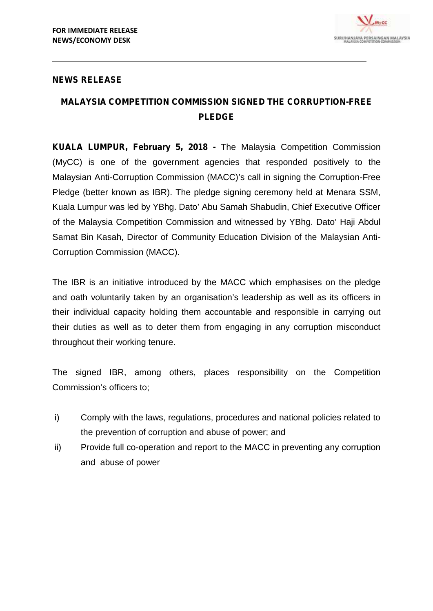

## **NEWS RELEASE**

## **MALAYSIA COMPETITION COMMISSION SIGNED THE CORRUPTION-FREE PLEDGE**

**KUALA LUMPUR, February 5, 2018 -** The Malaysia Competition Commission (MyCC) is one of the government agencies that responded positively to the Malaysian Anti-Corruption Commission (MACC)'s call in signing the Corruption-Free Pledge (better known as IBR). The pledge signing ceremony held at Menara SSM, Kuala Lumpur was led by YBhg. Dato' Abu Samah Shabudin, Chief Executive Officer of the Malaysia Competition Commission and witnessed by YBhg. Dato' Haji Abdul Samat Bin Kasah, Director of Community Education Division of the Malaysian Anti- Corruption Commission (MACC).

The IBR is an initiative introduced by the MACC which emphasises on the pledge and oath voluntarily taken by an organisation's leadership as well as its officers in their individual capacity holding them accountable and responsible in carrying out their duties as well as to deter them from engaging in any corruption misconduct throughout their working tenure.

The signed IBR, among others, places responsibility on the Competition Commission's officers to;

- i) Comply with the laws, regulations, procedures and national policies related to the prevention of corruption and abuse of power; and
- ii) Provide full co-operation and report to the MACC in preventing any corruption and abuse of power